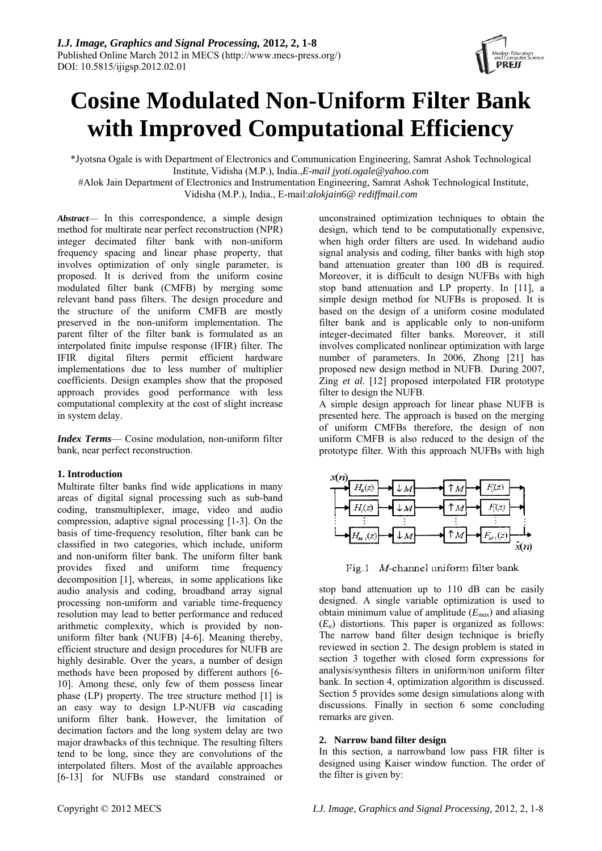# **Cosine Modulated Non-Uniform Filter Bank with Improved Computational Efficiency**

\*Jyotsna Ogale is with Department of Electronics and Communication Engineering, Samrat Ashok Technological Institute, Vidisha (M.P.), India.,*E-mail jyoti.ogale@yahoo.com*

 #Alok Jain Department of Electronics and Instrumentation Engineering, Samrat Ashok Technological Institute, Vidisha (M.P.), India., E-mail:*alokjain6@ rediffmail.com* 

*Abstract*— In this correspondence, a simple design method for multirate near perfect reconstruction (NPR) integer decimated filter bank with non-uniform frequency spacing and linear phase property, that involves optimization of only single parameter, is proposed. It is derived from the uniform cosine modulated filter bank (CMFB) by merging some relevant band pass filters. The design procedure and the structure of the uniform CMFB are mostly preserved in the non-uniform implementation. The parent filter of the filter bank is formulated as an interpolated finite impulse response (IFIR) filter. The IFIR digital filters permit efficient hardware implementations due to less number of multiplier coefficients. Design examples show that the proposed approach provides good performance with less computational complexity at the cost of slight increase in system delay.

*Index Terms*— Cosine modulation, non-uniform filter bank, near perfect reconstruction.

# **1. Introduction**

Multirate filter banks find wide applications in many areas of digital signal processing such as sub-band coding, transmultiplexer, image, video and audio compression, adaptive signal processing [1-3]. On the basis of time-frequency resolution, filter bank can be classified in two categories, which include, uniform and non-uniform filter bank. The uniform filter bank provides fixed and uniform time frequency decomposition [1], whereas, in some applications like audio analysis and coding, broadband array signal processing non-uniform and variable time-frequency resolution may lead to better performance and reduced arithmetic complexity, which is provided by nonuniform filter bank (NUFB) [4-6]. Meaning thereby, efficient structure and design procedures for NUFB are highly desirable. Over the years, a number of design methods have been proposed by different authors [6- 10]. Among these, only few of them possess linear phase (LP) property. The tree structure method [1] is an easy way to design LP-NUFB *via* cascading uniform filter bank. However, the limitation of decimation factors and the long system delay are two major drawbacks of this technique. The resulting filters tend to be long, since they are convolutions of the interpolated filters. Most of the available approaches [6-13] for NUFBs use standard constrained or

unconstrained optimization techniques to obtain the design, which tend to be computationally expensive, when high order filters are used. In wideband audio signal analysis and coding, filter banks with high stop band attenuation greater than 100 dB is required. Moreover, it is difficult to design NUFBs with high stop band attenuation and LP property. In [11], a simple design method for NUFBs is proposed. It is based on the design of a uniform cosine modulated filter bank and is applicable only to non-uniform integer-decimated filter banks. Moreover, it still involves complicated nonlinear optimization with large number of parameters. In 2006, Zhong [21] has proposed new design method in NUFB. During 2007, Zing *et al*. [12] proposed interpolated FIR prototype filter to design the NUFB.

A simple design approach for linear phase NUFB is presented here. The approach is based on the merging of uniform CMFBs therefore, the design of non uniform CMFB is also reduced to the design of the prototype filter. With this approach NUFBs with high



Fig.1 M-channel uniform filter bank

stop band attenuation up to 110 dB can be easily designed. A single variable optimization is used to obtain minimum value of amplitude (*Emax*) and aliasing  $(E_a)$  distortions. This paper is organized as follows: The narrow band filter design technique is briefly reviewed in section 2. The design problem is stated in section 3 together with closed form expressions for analysis/synthesis filters in uniform/non uniform filter bank. In section 4, optimization algorithm is discussed. Section 5 provides some design simulations along with discussions. Finally in section 6 some concluding remarks are given.

# **2. Narrow band filter design**

In this section, a narrowband low pass FIR filter is designed using Kaiser window function. The order of the filter is given by: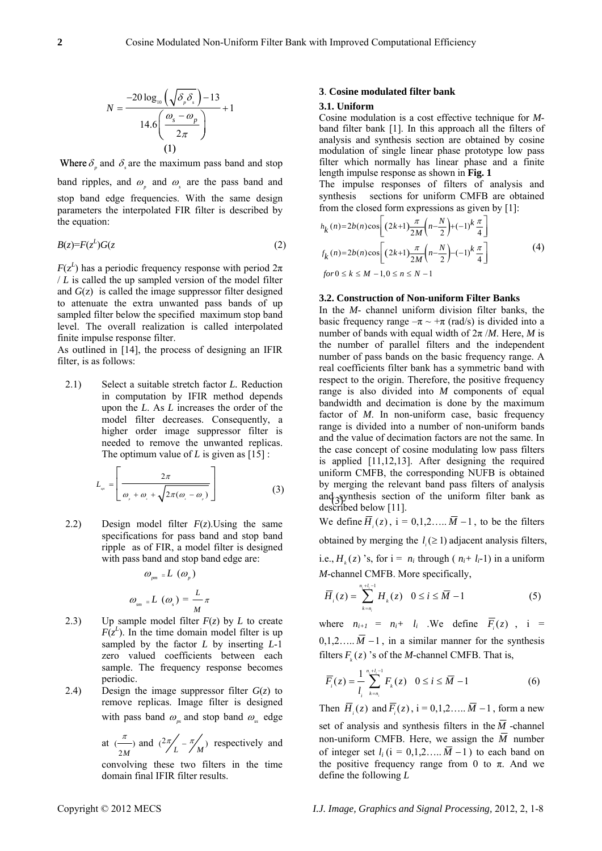$$
N = \frac{-20 \log_{10} \left( \sqrt{\delta_p \delta_s} \right) - 13}{14.6 \left( \frac{\omega_s - \omega_p}{2\pi} \right)} + 1
$$
  
(1)



band ripples, and  $\omega$  and  $\omega$  are the pass band and stop band edge frequencies. With the same design parameters the interpolated FIR filter is described by the equation:

$$
B(z)=F(z^L)G(z \tag{2}
$$

 $F(z^L)$  has a periodic frequency response with period  $2\pi$ / *L* is called the up sampled version of the model filter and *G*(z) is called the image suppressor filter designed to attenuate the extra unwanted pass bands of up sampled filter below the specified maximum stop band level. The overall realization is called interpolated finite impulse response filter.

As outlined in [14], the process of designing an IFIR filter, is as follows:

2.1) Select a suitable stretch factor *L.* Reduction in computation by IFIR method depends upon the *L*. As *L* increases the order of the model filter decreases. Consequently, a higher order image suppressor filter is needed to remove the unwanted replicas. The optimum value of *L* is given as [15]:

$$
L_{\alpha} = \left[ \frac{2\pi}{\omega_{\beta} + \omega_{\beta} + \sqrt{2\pi(\omega_{\beta} - \omega_{\beta})}} \right] \tag{3}
$$

2.2) Design model filter *F*(*z*).Using the same specifications for pass band and stop band ripple as of FIR, a model filter is designed with pass band and stop band edge are:

> $\omega_{\omega_{nm}} = L(\omega_{\omega_{n}})$  $\omega_{_{\rm sm}}$ <sub>=</sub>L ( $\omega_{_s}$ ) =  $\frac{L}{M}$  $\pi$

- 2.3) Up sample model filter  $F(z)$  by  $L$  to create  $F(z^L)$ . In the time domain model filter is up sampled by the factor *L* by inserting *L*-1 zero valued coefficients between each sample. The frequency response becomes periodic.
- 2.4) Design the image suppressor filter  $G(z)$  to remove replicas. Image filter is designed with pass band  $\omega$ <sub>s</sub> and stop band  $\omega$ <sub>s</sub> edge

at  $\stackrel{n}{\longrightarrow}$  $\frac{\pi}{2M}$  and  $\left(\frac{2\pi}{L} - \frac{\pi}{M}\right)$  respectively and

convolving these two filters in the time domain final IFIR filter results.

### **3**. **Cosine modulated filter bank**

#### **3.1. Uniform**

Cosine modulation is a cost effective technique for *M*band filter bank [1]. In this approach all the filters of analysis and synthesis section are obtained by cosine modulation of single linear phase prototype low pass filter which normally has linear phase and a finite length impulse response as shown in **Fig. 1**

The impulse responses of filters of analysis and synthesis sections for uniform CMFB are obtained from the closed form expressions as given by [1]:

$$
h_{k}(n) = 2b(n)\cos\left[\left(2k+1\right)\frac{\pi}{2M}\left(n-\frac{N}{2}\right)+(-1)^{k}\frac{\pi}{4}\right]
$$
  

$$
f_{k}(n) = 2b(n)\cos\left[\left(2k+1\right)\frac{\pi}{2M}\left(n-\frac{N}{2}\right)-(-1)^{k}\frac{\pi}{4}\right]
$$
  
for  $0 \le k \le M-1, 0 \le n \le N-1$  (4)

#### **3.2. Construction of Non-uniform Filter Banks**

and synthesis section of the uniform filter bank as In the *M*- channel uniform division filter banks, the basic frequency range  $-\pi \sim +\pi$  (rad/s) is divided into a number of bands with equal width of 2π /*M*. Here, *M* is the number of parallel filters and the independent number of pass bands on the basic frequency range. A real coefficients filter bank has a symmetric band with respect to the origin. Therefore, the positive frequency range is also divided into *M* components of equal bandwidth and decimation is done by the maximum factor of *M*. In non-uniform case, basic frequency range is divided into a number of non-uniform bands and the value of decimation factors are not the same. In the case concept of cosine modulating low pass filters is applied [11,12,13]. After designing the required uniform CMFB, the corresponding NUFB is obtained by merging the relevant band pass filters of analysis described below [11].

We define  $\overline{H}(z)$ ,  $i = 0,1,2,...$ ,  $\overline{M} - 1$ , to be the filters

obtained by merging the  $l_i \geq 1$ ) adjacent analysis filters,

i.e.,  $H_k(z)$  's, for  $i = n_i$  through ( $n_i+ l_i-1$ ) in a uniform *M*-channel CMFB. More specifically,

$$
\overline{H}_i(z) = \sum_{k=n_i}^{n_i + l_i - 1} H_k(z) \quad 0 \le i \le \overline{M} - 1 \tag{5}
$$

where  $n_{i+1} = n_i + l_i$ . We define  $\overline{F}(z)$ ,  $i =$  $0,1,2,...$  *M* −1, in a similar manner for the synthesis filters  $F(x)$  *s* of the *M*-channel CMFB. That is,

$$
\overline{F}_i(z) = \frac{1}{l_i} \sum_{k=n_i}^{n_i + l_i - 1} F_k(z) \quad 0 \le i \le \overline{M} - 1
$$
 (6)

Then  $\overline{H}(z)$  and  $\overline{F}(z)$ ,  $i = 0,1,2,...$   $\overline{M} - 1$ , form a new set of analysis and synthesis filters in the  $\overline{M}$  -channel non-uniform CMFB. Here, we assign the  $\overline{M}$  number of integer set  $l_i$  (i = 0,1,2…..  $\overline{M}$  −1) to each band on the positive frequency range from 0 to  $\pi$ . And we define the following *L*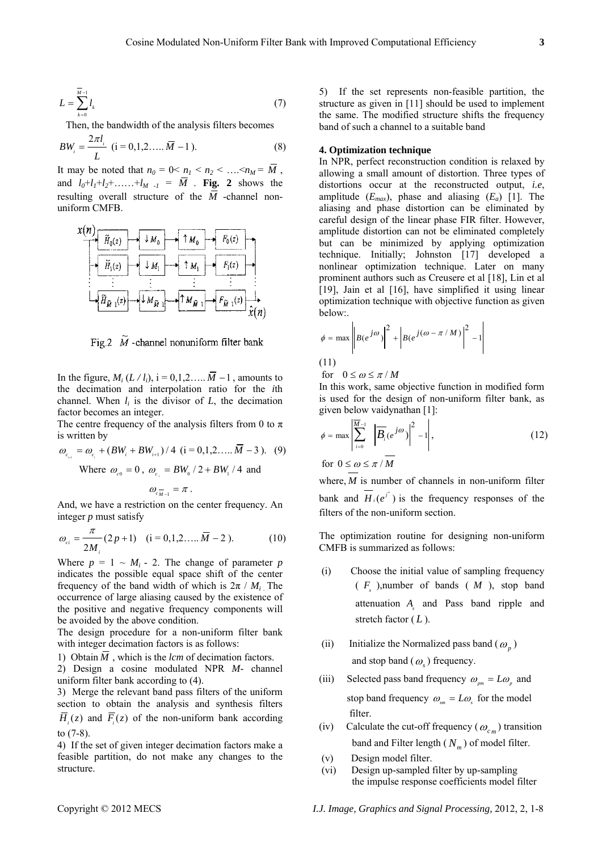$$
L = \sum_{k=0}^{\overline{M}-1} l_k \tag{7}
$$

Then, the bandwidth of the analysis filters becomes

$$
BW_i = \frac{2\pi l_i}{L} \ (i = 0, 1, 2, \dots, \overline{M} - 1). \tag{8}
$$

It may be noted that  $n_0 = 0 < n_1 < n_2 < ... < n_M = \overline{M}$ , and  $l_0 + l_1 + l_2 + \ldots + l_{M-1} = \overline{M}$ . **Fig. 2** shows the resulting overall structure of the  $\overline{M}$  -channel nonuniform CMFB.



Fig.2  $\tilde{M}$  -channel nonuniform filter bank

In the figure,  $M_i$  ( $L \, / \, l_i$ ), i = 0,1,2…..  $\overline{M}$  −1, amounts to the decimation and interpolation ratio for the *i*th channel. When  $l_i$  is the divisor of  $L$ , the decimation factor becomes an integer.

The centre frequency of the analysis filters from 0 to  $\pi$ is written by

$$
\omega_{c_{i+1}} = \omega_{c_i} + (BW_i + BW_{i+1})/4 \ (i = 0, 1, 2, ..., \overline{M} - 3). \tag{9}
$$

Where  $\omega_{c0} = 0$ ,  $\omega_{c} = BW_{0}/2 + BW_{1}/4$  and

$$
\omega_{c_{M-1}} = \pi.
$$

And, we have a restriction on the center frequency. An integer *p* must satisfy

$$
\omega_{ci} = \frac{\pi}{2M_i} (2p+1) \quad (i = 0, 1, 2, \dots, \overline{M} - 2). \tag{10}
$$

Where  $p = 1 \sim M_i$  - 2. The change of parameter *p* indicates the possible equal space shift of the center frequency of the band width of which is  $2\pi / M_i$ . The occurrence of large aliasing caused by the existence of the positive and negative frequency components will be avoided by the above condition.

The design procedure for a non-uniform filter bank with integer decimation factors is as follows:

1) Obtain  $\overline{M}$ , which is the *lcm* of decimation factors.

2) Design a cosine modulated NPR *M*- channel uniform filter bank according to (4).

3) Merge the relevant band pass filters of the uniform section to obtain the analysis and synthesis filters  $\overline{H}_{i}(z)$  and  $\overline{F}_{i}(z)$  of the non-uniform bank according to (7-8).

4) If the set of given integer decimation factors make a feasible partition, do not make any changes to the structure.

5) If the set represents non-feasible partition, the structure as given in [11] should be used to implement the same. The modified structure shifts the frequency band of such a channel to a suitable band

# **4. Optimization technique**

In NPR, perfect reconstruction condition is relaxed by allowing a small amount of distortion. Three types of distortions occur at the reconstructed output, *i.e*, amplitude  $(E_{max})$ , phase and aliasing  $(E_a)$  [1]. The aliasing and phase distortion can be eliminated by careful design of the linear phase FIR filter. However, amplitude distortion can not be eliminated completely but can be minimized by applying optimization technique. Initially; Johnston [17] developed a nonlinear optimization technique. Later on many prominent authors such as Creusere et al [18], Lin et al [19], Jain et al [16], have simplified it using linear optimization technique with objective function as given below:.

$$
\phi = \max \left| B(e^{j\omega}) \right|^2 + \left| B(e^{j(\omega - \pi/M)}) \right|^2 - 1 \right|
$$
\n(11)

for  $0 \le \omega \le \pi / M$ 

In this work, same objective function in modified form is used for the design of non-uniform filter bank, as given below vaidynathan [1]:

$$
\phi = \max \left| \sum_{i=0}^{\overline{M}-1} \left| \overline{B}_i(e^{j\omega}) \right|^2 - 1 \right|,
$$
\nfor  $0 \leq \omega \leq \pi / \overline{M}$ 

\n(12)

where, *M* is number of channels in non-uniform filter bank and  $H_i(e^{j^*})$  is the frequency responses of the filters of the non-uniform section.

The optimization routine for designing non-uniform CMFB is summarized as follows:

- (i) Choose the initial value of sampling frequency  $(F, )$ ,number of bands  $(M, )$ , stop band attenuation *A* and Pass band ripple and stretch factor  $(L)$ .
- (ii) Initialize the Normalized pass band  $(\omega_n)$ and stop band  $(\omega)$  frequency.
- (iii) Selected pass band frequency  $\omega_{_{pm}} = L\omega_{_{p}}$  and stop band frequency  $\omega_m = L\omega$ , for the model filter.
- (iv) Calculate the cut-off frequency ( $\omega_{cm}$ ) transition band and Filter length  $(N_m)$  of model filter.
- (v) Design model filter.
- (vi) Design up-sampled filter by up-sampling the impulse response coefficients model filter

Copyright © 2012 MECS *I.J. Image, Graphics and Signal Processing,* 2012, 2, 1-8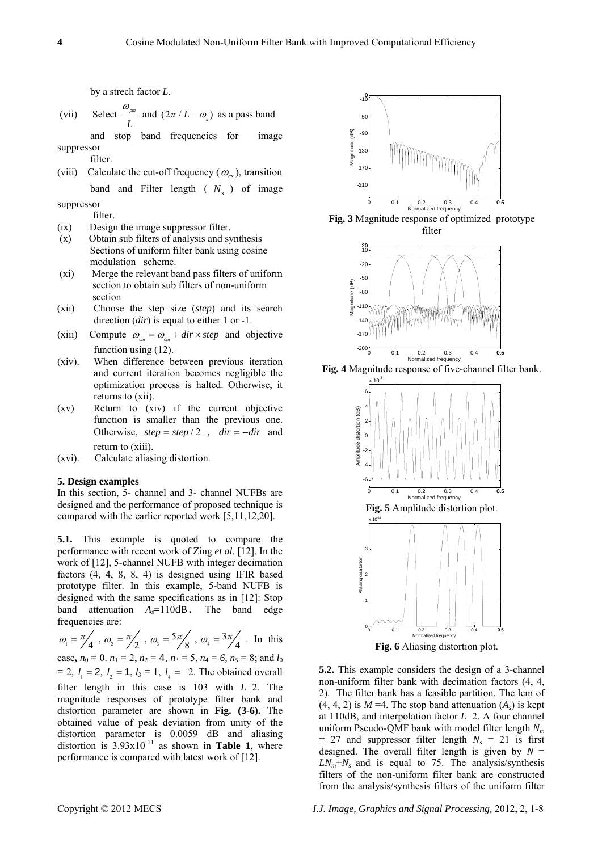by a strech factor *L*.

(vii) Select  $\frac{w_{pm}}{w_{pm}}$ *L*  $\frac{\omega_{\text{pm}}}{I}$  and  $(2\pi/L-\omega_{\text{s}})$  as a pass band

 and stop band frequencies for image suppressor filter.

(viii) Calculate the cut-off frequency  $(\omega_{\alpha})$ , transition band and Filter length  $(N<sub>s</sub>)$  of image

suppressor

- (ix) Design the image suppressor filter.<br>
(x) Obtain sub filters of analysis and synthesis
- Obtain sub filters of analysis and synthesis Sections of uniform filter bank using cosine modulation scheme.
- (xi) Merge the relevant band pass filters of uniform section to obtain sub filters of non-uniform section
- (xii) Choose the step size (*step*) and its search direction (*dir*) is equal to either 1 or -1.
- (xiii) Compute  $\omega_{cm} = \omega_{cm} + dir \times step$  and objective function using (12).
- (xiv). When difference between previous iteration and current iteration becomes negligible the optimization process is halted. Otherwise, it returns to (xii).
- (xv) Return to (xiv) if the current objective function is smaller than the previous one. Otherwise,  $step = step / 2$ ,  $dir = -dir$  and return to (xiii).
- (xvi). Calculate aliasing distortion.

#### **5. Design examples**

In this section, 5- channel and 3- channel NUFBs are designed and the performance of proposed technique is designed and the performance of proposed technique is **Fig. 5** Amplitude distortion plot.<br>
compared with the earlier reported work [5,11,12,20].

**5.1.** This example is quoted to compare the performance with recent work of Zing *et al*. [12]. In the work of [12], 5-channel NUFB with integer decimation factors (4, 4, 8, 8, 4) is designed using IFIR based prototype filter. In this example, 5-band NUFB is designed with the same specifications as in [12]: Stop band attenuation *As*=110dB**.** The band edge frequencies are:

 $\omega_1 = \frac{\pi}{4}$ ,  $\omega_2 = \frac{\pi}{2}$ ,  $\omega_3 = \frac{5\pi}{8}$ ,  $\omega_4 = \frac{3\pi}{4}$ . In this case,  $n_0 = 0$ .  $n_1 = 2$ ,  $n_2 = 4$ ,  $n_3 = 5$ ,  $n_4 = 6$ ,  $n_5 = 8$ ; and  $l_0$  $= 2, l_1 = 2, l_2 = 1, l_3 = 1, l_4 = 2$ . The obtained overall filter length in this case is 103 with *L*=2. The magnitude responses of prototype filter bank and distortion parameter are shown in **Fig. (3-6).** The obtained value of peak deviation from unity of the distortion parameter is 0.0059 dB and aliasing distortion is  $3.93 \times 10^{-11}$  as shown in **Table 1**, where performance is compared with latest work of [12].



filter.<br> **Fig. 3** Magnitude response of optimized prototype<br> **Fig. 3** Magnitude response of optimized prototype<br>
filter



**Fig. 4** Magnitude response of five-channel filter bank.



 **Fig. 6** Aliasing distortion plot.

**5.2.** This example considers the design of a 3-channel non-uniform filter bank with decimation factors (4, 4, 2). The filter bank has a feasible partition. The lcm of  $(4, 4, 2)$  is  $M = 4$ . The stop band attenuation  $(A<sub>s</sub>)$  is kept at 110dB, and interpolation factor *L*=2. A four channel uniform Pseudo-QMF bank with model filter length *Nm*  $= 27$  and suppressor filter length  $N_s = 21$  is first designed. The overall filter length is given by  $N =$  $LN_m + N_s$  and is equal to 75. The analysis/synthesis filters of the non-uniform filter bank are constructed from the analysis/synthesis filters of the uniform filter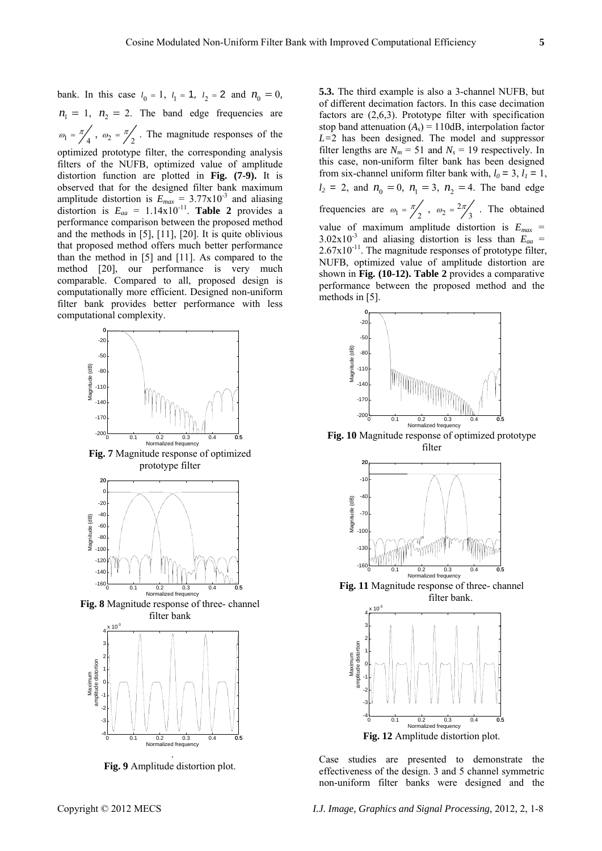bank. In this case  $l_0 = 1$ ,  $l_1 = 1$ ,  $l_2 = 2$  and  $n_0 = 0$ ,  $n_1 = 1$ ,  $n_2 = 2$ . The band edge frequencies are  $\omega_1 = \frac{\pi}{4}$ ,  $\omega_2 = \frac{\pi}{2}$ . The magnitude responses of the optimized prototype filter, the corresponding analysis filters of the NUFB, optimized value of amplitude distortion function are plotted in **Fig. (7-9).** It is observed that for the designed filter bank maximum amplitude distortion is  $E_{max} = 3.77 \times 10^{-3}$  and aliasing distortion is  $E_{aa} = 1.14 \times 10^{-11}$ . **Table 2** provides a performance comparison between the proposed method and the methods in [5], [11], [20]. It is quite oblivious that proposed method offers much better performance than the method in [5] and [11]. As compared to the method [20], our performance is very much comparable. Compared to all, proposed design is computationally more efficient. Designed non-uniform filter bank provides better performance with less computational complexity.



**Fig. 7** Magnitude response of optimized prototype filter



**Fig. 8** Magnitude response of three- channel filter bank



**Fig. 9** Amplitude distortion plot.

**5.3.** The third example is also a 3-channel NUFB, but of different decimation factors. In this case decimation factors are (2,6,3). Prototype filter with specification stop band attenuation  $(A<sub>s</sub>) = 110dB$ , interpolation factor *L=*2 has been designed. The model and suppressor filter lengths are  $N_m = 51$  and  $N_s = 19$  respectively. In this case, non-uniform filter bank has been designed from six-channel uniform filter bank with,  $l_0 = 3$ ,  $l_1 = 1$ ,  $l_2 = 2$ , and  $n_0 = 0$ ,  $n_1 = 3$ ,  $n_2 = 4$ . The band edge frequencies are  $\omega_1 = \frac{\pi}{2}$ ,  $\omega_2 = \frac{2\pi}{3}$  $\omega_2 = \frac{2\pi}{3}$ . The obtained value of maximum amplitude distortion is  $E_{max}$  =  $3.02 \times 10^{-3}$  and aliasing distortion is less than  $E_{aa}$  =  $2.67x10^{-11}$ . The magnitude responses of prototype filter, NUFB, optimized value of amplitude distortion are shown in **Fig. (10-12). Table 2** provides a comparative performance between the proposed method and the methods in [5].



 **Fig. 10** Magnitude response of optimized prototype filter



**Fig. 11** Magnitude response of three- channel filter bank.



Case studies are presented to demonstrate the effectiveness of the design. 3 and 5 channel symmetric non-uniform filter banks were designed and the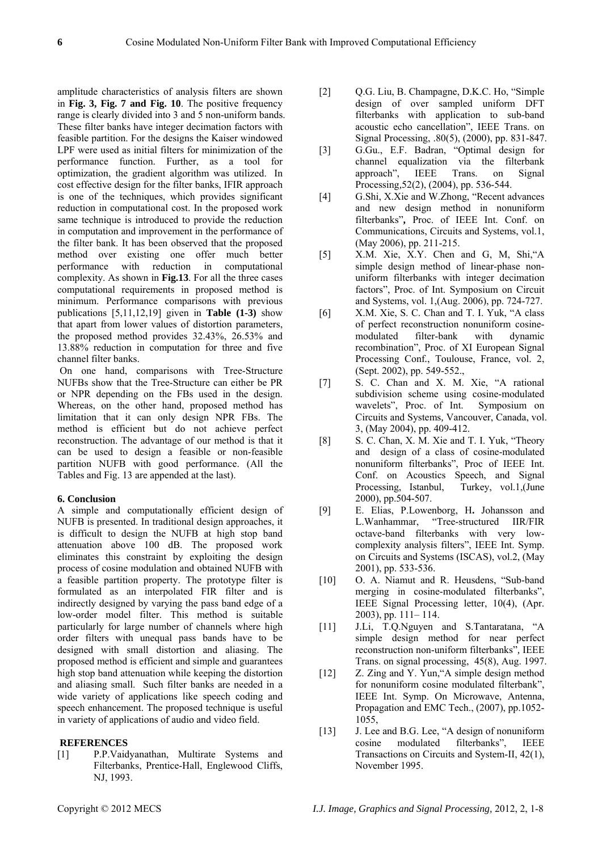amplitude characteristics of analysis filters are shown in **Fig. 3, Fig. 7 and Fig. 10**. The positive frequency range is clearly divided into 3 and 5 non-uniform bands. These filter banks have integer decimation factors with feasible partition. For the designs the Kaiser windowed LPF were used as initial filters for minimization of the performance function. Further, as a tool for optimization, the gradient algorithm was utilized. In cost effective design for the filter banks, IFIR approach is one of the techniques, which provides significant reduction in computational cost. In the proposed work same technique is introduced to provide the reduction in computation and improvement in the performance of the filter bank. It has been observed that the proposed method over existing one offer much better performance with reduction in computational complexity. As shown in **Fig.13**. For all the three cases computational requirements in proposed method is minimum. Performance comparisons with previous publications [5,11,12,19] given in **Table (1-3)** show that apart from lower values of distortion parameters, the proposed method provides 32.43%, 26.53% and 13.88% reduction in computation for three and five channel filter banks.

 On one hand, comparisons with Tree-Structure NUFBs show that the Tree-Structure can either be PR or NPR depending on the FBs used in the design. Whereas, on the other hand, proposed method has limitation that it can only design NPR FBs. The method is efficient but do not achieve perfect reconstruction. The advantage of our method is that it can be used to design a feasible or non-feasible partition NUFB with good performance. (All the Tables and Fig. 13 are appended at the last).

#### **6. Conclusion**

A simple and computationally efficient design of NUFB is presented. In traditional design approaches, it is difficult to design the NUFB at high stop band attenuation above 100 dB. The proposed work eliminates this constraint by exploiting the design process of cosine modulation and obtained NUFB with a feasible partition property. The prototype filter is formulated as an interpolated FIR filter and is indirectly designed by varying the pass band edge of a low-order model filter. This method is suitable particularly for large number of channels where high order filters with unequal pass bands have to be designed with small distortion and aliasing. The proposed method is efficient and simple and guarantees high stop band attenuation while keeping the distortion and aliasing small. Such filter banks are needed in a wide variety of applications like speech coding and speech enhancement. The proposed technique is useful in variety of applications of audio and video field.

#### **REFERENCES**

[1] P.P.Vaidyanathan, Multirate Systems and Filterbanks, Prentice-Hall, Englewood Cliffs, NJ, 1993.

- [2] Q.G. Liu, B. Champagne, D.K.C. Ho, "Simple design of over sampled uniform DFT filterbanks with application to sub-band acoustic echo cancellation", IEEE Trans. on Signal Processing, .80(5), (2000), pp. 831-847.
- [3] G.Gu., E.F. Badran, "Optimal design for channel equalization via the filterbank approach", IEEE Trans. on Signal Processing*,*52(2), (2004), pp. 536-544.
- [4] G.Shi, X.Xie and W.Zhong, "Recent advances and new design method in nonuniform filterbanks"**,** Proc. of IEEE Int. Conf. on Communications, Circuits and Systems, vol.1, (May 2006), pp. 211-215.
- [5] X.M. Xie, X.Y. Chen and G, M, Shi,"A simple design method of linear-phase nonuniform filterbanks with integer decimation factors", Proc. of Int. Symposium on Circuit and Systems, vol. 1,(Aug. 2006), pp. 724-727.
- [6] X.M. Xie, S. C. Chan and T. I. Yuk, "A class of perfect reconstruction nonuniform cosinemodulated filter-bank with dynamic recombination", Proc. of XI European Signal Processing Conf., Toulouse, France, vol. 2, (Sept. 2002), pp. 549-552.,
- [7] S. C. Chan and X. M. Xie, "A rational subdivision scheme using cosine-modulated wavelets", Proc. of Int. Symposium on Circuits and Systems*,* Vancouver, Canada, vol. 3, (May 2004), pp. 409-412.
- [8] S. C. Chan, X. M. Xie and T. I. Yuk, "Theory and design of a class of cosine-modulated nonuniform filterbanks", Proc of IEEE Int. Conf. on Acoustics Speech, and Signal Processing, Istanbul, Turkey, vol.1,(June 2000), pp.504-507.
- [9] E. Elias, P.Lowenborg, H**.** Johansson and L.Wanhammar, "Tree-structured IIR/FIR octave-band filterbanks with very lowcomplexity analysis filters", IEEE Int. Symp. on Circuits and Systems (ISCAS), vol.2, (May 2001), pp. 533-536.
- [10] O. A. Niamut and R. Heusdens, "Sub-band merging in cosine-modulated filterbanks", IEEE Signal Processing letter, 10(4), (Apr. 2003), pp. 111–114.<br>[11] J.Li, T.O.Nguyen and S.Tantaratana, "A
- simple design method for near perfect reconstruction non-uniform filterbanks"*,* IEEE Trans. on signal processing, 45(8), Aug. 1997.
- [12] Z. Zing and Y. Yun, "A simple design method for nonuniform cosine modulated filterbank", IEEE Int. Symp. On Microwave, Antenna, Propagation and EMC Tech., (2007), pp.1052- 1055,
- [13] J. Lee and B.G. Lee, "A design of nonuniform cosine modulated filterbanks", IEEE Transactions on Circuits and System-II, 42(1), November 1995.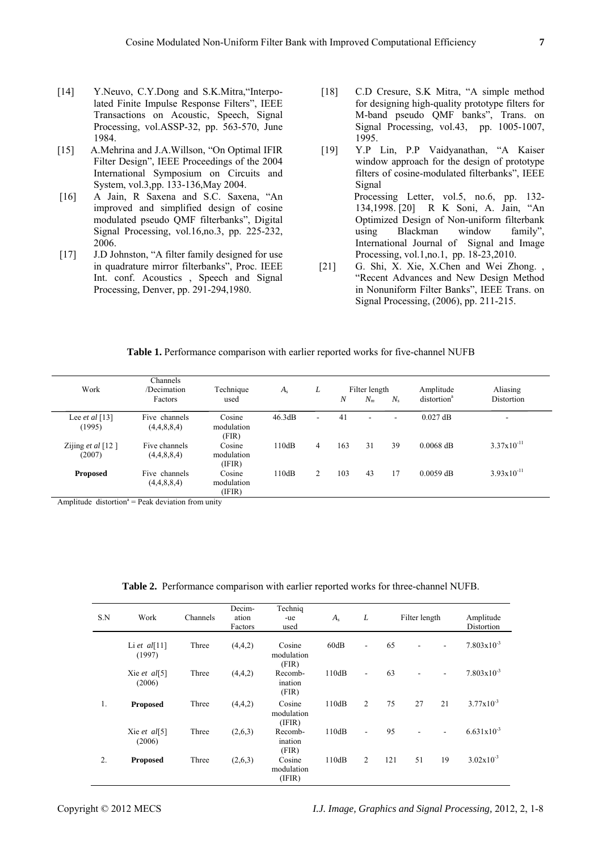- [14] Y.Neuvo, C.Y.Dong and S.K.Mitra, 'Interpolated Finite Impulse Response Filters", IEEE Transactions on Acoustic, Speech, Signal Processing, vol.ASSP-32, pp. 563-570, June 1984.
- [15] A.Mehrina and J.A.Willson, "On Optimal IFIR Filter Design", IEEE Proceedings of the 2004 International Symposium on Circuits and System, vol.3,pp. 133-136,May 2004.
- [16] A Jain, R Saxena and S.C. Saxena, "An improved and simplified design of cosine modulated pseudo QMF filterbanks", Digital Signal Processing, vol.16,no.3, pp. 225-232, 2006.
- [17] J.D Johnston, "A filter family designed for use in quadrature mirror filterbanks", Proc. IEEE Int. conf. Acoustics , Speech and Signal Processing, Denver, pp. 291-294,1980.
- [18] C.D Cresure, S.K Mitra, "A simple method for designing high-quality prototype filters for M-band pseudo QMF banks", Trans. on Signal Processing, vol.43, pp. 1005-1007, 1995.
- [19] Y.P Lin, P.P Vaidyanathan, "A Kaiser window approach for the design of prototype filters of cosine-modulated filterbanks", IEEE **Signal**  Processing Letter, vol.5, no.6, pp. 132- 134,1998. [20] R K Soni, A. Jain, "An Optimized Design of Non-uniform filterbank using Blackman window family", International Journal of Signal and Image Processing, vol.1,no.1, pp. 18-23,2010.
- [21] G. Shi, X. Xie, X. Chen and Wei Zhong. "Recent Advances and New Design Method in Nonuniform Filter Banks", IEEE Trans. on Signal Processing, (2006), pp. 211-215.

# **Table 1.** Performance comparison with earlier reported works for five-channel NUFB

| Work                          | Channels<br>/Decimation<br>Factors | Technique<br>used              | $A_{s}$ | L              | N   | Filter length<br>$N_m$   | $N_{\rm s}$              | Amplitude<br>distortion <sup>a</sup> | Aliasing<br>Distortion |
|-------------------------------|------------------------------------|--------------------------------|---------|----------------|-----|--------------------------|--------------------------|--------------------------------------|------------------------|
| Lee et al $[13]$<br>(1995)    | Five channels<br>(4,4,8,8,4)       | Cosine<br>modulation<br>(FIR)  | 46.3dB  | $\blacksquare$ | 41  | $\overline{\phantom{a}}$ | $\overline{\phantom{a}}$ | $0.027$ dB                           | ۰                      |
| Zijing et al $[12]$<br>(2007) | Five channels<br>(4,4,8,8,4)       | Cosine<br>modulation<br>(IFIR) | 110dB   | 4              | 163 | 31                       | 39                       | $0.0068$ dB                          | $3.37x10^{-11}$        |
| <b>Proposed</b>               | Five channels<br>(4,4,8,8,4)       | Cosine<br>modulation<br>(IFIR) | 110dB   | 2              | 103 | 43                       | 17                       | $0.0059$ dB                          | $3.93 \times 10^{-11}$ |

Amplitude distortion<sup>a</sup> = Peak deviation from unity

**Table 2.** Performance comparison with earlier reported works for three-channel NUFB.

| S.N | Work                   | Channels | Decim-<br>ation<br>Factors | Techniq<br>-ue<br>used         | $A_{s}$ | L              |     | Filter length |    | Amplitude<br>Distortion |
|-----|------------------------|----------|----------------------------|--------------------------------|---------|----------------|-----|---------------|----|-------------------------|
|     | Li et al[11]<br>(1997) | Three    | (4,4,2)                    | Cosine<br>modulation<br>(FIR)  | 60dB    | $\blacksquare$ | 65  |               |    | $7.803 \times 10^{-3}$  |
|     | Xie et al[5]<br>(2006) | Three    | (4,4,2)                    | Recomb-<br>ination<br>(FIR)    | 110dB   | $\sim$         | 63  |               |    | $7.803 \times 10^{-3}$  |
| 1.  | <b>Proposed</b>        | Three    | (4,4,2)                    | Cosine<br>modulation<br>(IFIR) | 110dB   | $\overline{2}$ | 75  | 27            | 21 | $3.77 \times 10^{-3}$   |
|     | Xie et al[5]<br>(2006) | Three    | (2,6,3)                    | Recomb-<br>ination<br>(FIR)    | 110dB   | $\mathbf{r}$   | 95  |               |    | $6.631x10^{-3}$         |
| 2.  | <b>Proposed</b>        | Three    | (2,6,3)                    | Cosine<br>modulation<br>(IFIR) | 110dB   | 2              | 121 | 51            | 19 | $3.02 \times 10^{-3}$   |